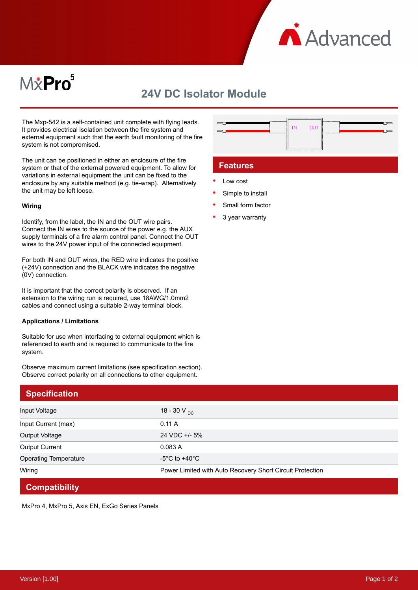

# M*\**Pro<sup>5</sup>

# **24V DC Isolator Module**

The Mxp-542 is a self-contained unit complete with flying leads. It provides electrical isolation between the fire system and external equipment such that the earth fault monitoring of the fire system is not compromised.

The unit can be positioned in either an enclosure of the fire system or that of the external powered equipment. To allow for variations in external equipment the unit can be fixed to the enclosure by any suitable method (e.g. tie-wrap). Alternatively the unit may be left loose.

#### **Wiring**

Identify, from the label, the IN and the OUT wire pairs. Connect the IN wires to the source of the power e.g. the AUX supply terminals of a fire alarm control panel. Connect the OUT wires to the 24V power input of the connected equipment.

For both IN and OUT wires, the RED wire indicates the positive (+24V) connection and the BLACK wire indicates the negative (0V) connection.

It is important that the correct polarity is observed. If an extension to the wiring run is required, use 18AWG/1.0mm2 cables and connect using a suitable 2-way terminal block.

#### **Applications / Limitations**

Suitable for use when interfacing to external equipment which is referenced to earth and is required to communicate to the fire system.

Observe maximum current limitations (see specification section). Observe correct polarity on all connections to other equipment.

| ,,,,,,,,,,,,,,,, |  | -------------         |
|------------------|--|-----------------------|
|                  |  |                       |
| -----            |  | <u> Leonardon – L</u> |
|                  |  |                       |
|                  |  |                       |
|                  |  |                       |
|                  |  |                       |
|                  |  |                       |

### **Features**

- Low cost
- Simple to install
- Small form factor
- 3 year warranty

| <b>Specification</b>         |                                                           |
|------------------------------|-----------------------------------------------------------|
| Input Voltage                | 18 - 30 V $_{\text{DC}}$                                  |
| Input Current (max)          | 0.11 A                                                    |
| Output Voltage               | 24 VDC +/- 5%                                             |
| <b>Output Current</b>        | 0.083A                                                    |
| <b>Operating Temperature</b> | $-5^{\circ}$ C to $+40^{\circ}$ C                         |
| Wiring                       | Power Limited with Auto Recovery Short Circuit Protection |
| <b>Compatibility</b>         |                                                           |

MxPro 4, MxPro 5, Axis EN, ExGo Series Panels